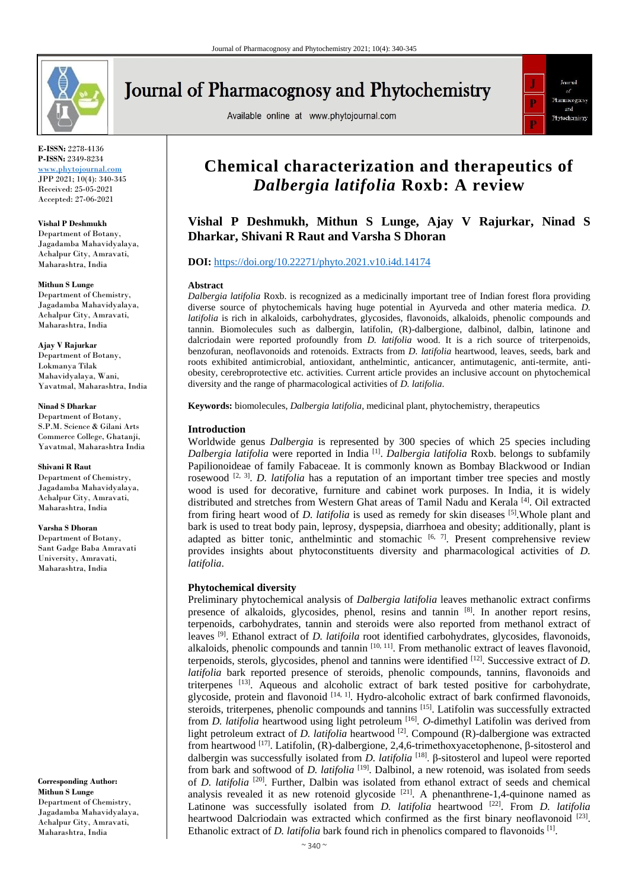

# **Journal of Pharmacognosy and Phytochemistry**

Available online at www.phytojournal.com



**E-ISSN:** 2278-4136 **P-ISSN:** 2349-8234 [www.phytojournal.com](../Downloads/www.phytojournal.com)

JPP 2021; 10(4): 340-345 Received: 25-05-2021 Accepted: 27-06-2021

**Vishal P Deshmukh**

Department of Botany, Jagadamba Mahavidyalaya, Achalpur City, Amravati, Maharashtra, India

#### **Mithun S Lunge**

Department of Chemistry, Jagadamba Mahavidyalaya, Achalpur City, Amravati, Maharashtra, India

#### **Ajay V Rajurkar**

Department of Botany, Lokmanya Tilak Mahavidyalaya, Wani, Yavatmal, Maharashtra, India

#### **Ninad S Dharkar**

Department of Botany, S.P.M. Science & Gilani Arts Commerce College, Ghatanji, Yavatmal, Maharashtra India

#### **Shivani R Raut**

Department of Chemistry, Jagadamba Mahavidyalaya, Achalpur City, Amravati, Maharashtra, India

#### **Varsha S Dhoran**

Department of Botany, Sant Gadge Baba Amravati University, Amravati, Maharashtra, India

**Corresponding Author: Mithun S Lunge** Department of Chemistry, Jagadamba Mahavidyalaya, Achalpur City, Amravati, Maharashtra, India

# **Chemical characterization and therapeutics of**  *Dalbergia latifolia* **Roxb: A review**

# **Vishal P Deshmukh, Mithun S Lunge, Ajay V Rajurkar, Ninad S Dharkar, Shivani R Raut and Varsha S Dhoran**

# **DOI:** <https://doi.org/10.22271/phyto.2021.v10.i4d.14174>

#### **Abstract**

*Dalbergia latifolia* Roxb. is recognized as a medicinally important tree of Indian forest flora providing diverse source of phytochemicals having huge potential in Ayurveda and other materia medica. *D. latifolia* is rich in alkaloids, carbohydrates, glycosides, flavonoids, alkaloids, phenolic compounds and tannin. Biomolecules such as dalbergin, latifolin, (R)-dalbergione, dalbinol, dalbin, latinone and dalcriodain were reported profoundly from *D. latifolia* wood. It is a rich source of triterpenoids, benzofuran, neoflavonoids and rotenoids. Extracts from *D. latifolia* heartwood*,* leaves, seeds, bark and roots exhibited antimicrobial, antioxidant, anthelmintic, anticancer, antimutagenic, anti-termite, antiobesity, cerebroprotective etc. activities. Current article provides an inclusive account on phytochemical diversity and the range of pharmacological activities of *D. latifolia*.

**Keywords:** biomolecules, *Dalbergia latifolia*, medicinal plant, phytochemistry, therapeutics

#### **Introduction**

Worldwide genus *Dalbergia* is represented by 300 species of which 25 species including *Dalbergia latifolia* were reported in India [1] . *Dalbergia latifolia* Roxb. belongs to subfamily Papilionoideae of family Fabaceae. It is commonly known as Bombay Blackwood or Indian rosewood  $[2, 3]$ . *D. latifolia* has a reputation of an important timber tree species and mostly wood is used for decorative, furniture and cabinet work purposes. In India, it is widely distributed and stretches from Western Ghat areas of Tamil Nadu and Kerala [4]. Oil extracted from firing heart wood of *D. latifolia* is used as remedy for skin diseases [5].Whole plant and bark is used to treat body pain, leprosy, dyspepsia, diarrhoea and obesity; additionally, plant is adapted as bitter tonic, anthelmintic and stomachic  $[6, 7]$ . Present comprehensive review provides insights about phytoconstituents diversity and pharmacological activities of *D. latifolia*.

#### **Phytochemical diversity**

Preliminary phytochemical analysis of *Dalbergia latifolia* leaves methanolic extract confirms presence of alkaloids, glycosides, phenol, resins and tannin [8]. In another report resins, terpenoids, carbohydrates, tannin and steroids were also reported from methanol extract of leaves [9]. Ethanol extract of *D. latifoila* root identified carbohydrates, glycosides, flavonoids, alkaloids, phenolic compounds and tannin [10, 11]. From methanolic extract of leaves flavonoid, terpenoids, sterols, glycosides, phenol and tannins were identified [12]. Successive extract of *D. latifolia* bark reported presence of steroids, phenolic compounds, tannins, flavonoids and triterpenes [13]. Aqueous and alcoholic extract of bark tested positive for carbohydrate, glycoside, protein and flavonoid  $[14, 1]$ . Hydro-alcoholic extract of bark confirmed flavonoids, steroids, triterpenes, phenolic compounds and tannins [15]. Latifolin was successfully extracted from *D. latifolia* heartwood using light petroleum [16] . *O*-dimethyl Latifolin was derived from light petroleum extract of *D. latifolia* heartwood <sup>[2]</sup>. Compound (R)-dalbergione was extracted from heartwood  $[17]$ . Latifolin, (R)-dalbergione, 2,4,6-trimethoxyacetophenone, β-sitosterol and dalbergin was successfully isolated from *D. latifolia*<sup>[18]</sup>. β-sitosterol and lupeol were reported from bark and softwood of *D. latifolia* <sup>[19]</sup>. Dalbinol, a new rotenoid, was isolated from seeds of *D. latifolia* <sup>[20]</sup>. Further, Dalbin was isolated from ethanol extract of seeds and chemical analysis revealed it as new rotenoid glycoside  $[21]$ . A phenanthrene-1,4-quinone named as Latinone was successfully isolated from *D. latifolia* heartwood <sup>[22]</sup>. From *D. latifolia* heartwood Dalcriodain was extracted which confirmed as the first binary neoflavonoid  $^{[23]}$ . Ethanolic extract of *D. latifolia* bark found rich in phenolics compared to flavonoids <sup>[1]</sup>.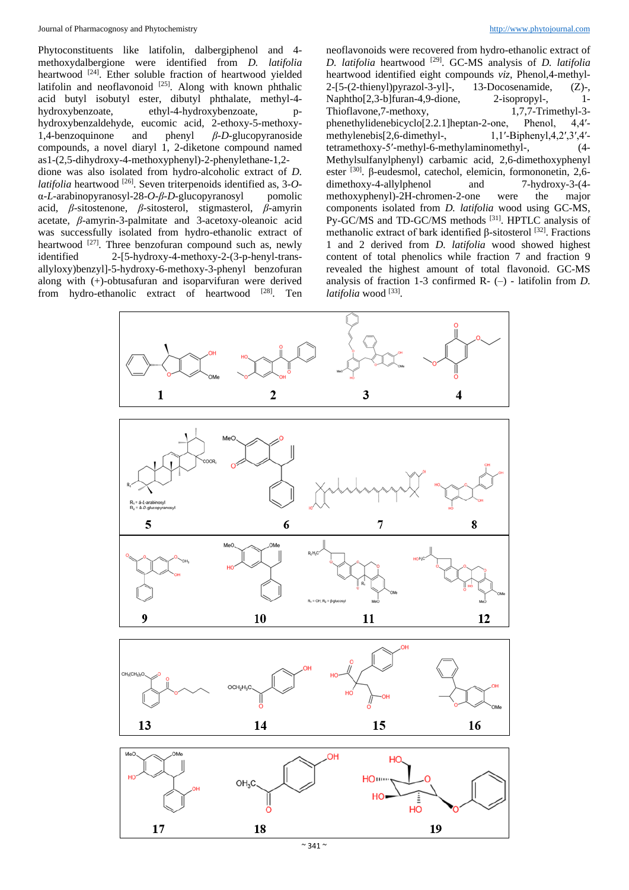Phytoconstituents like latifolin, dalbergiphenol and 4 methoxydalbergione were identified from *D. latifolia* heartwood <a>[24]</a>. Ether soluble fraction of heartwood yielded latifolin and neoflavonoid  $[25]$ . Along with known phthalic acid butyl isobutyl ester, dibutyl phthalate, methyl-4 hydroxybenzoate, ethyl-4-hydroxybenzoate, hydroxybenzaldehyde, eucomic acid, 2-ethoxy-5-methoxy-1,4-benzoquinone and phenyl *β*-*D*-glucopyranoside compounds, a novel diaryl 1, 2-diketone compound named as1-(2,5-dihydroxy-4-methoxyphenyl)-2-phenylethane-1,2 dione was also isolated from hydro-alcoholic extract of *D. latifolia* heartwood [26]. Seven triterpenoids identified as, 3-*O*α-*L*-arabinopyranosyl-28-*O*-*β*-*D*-glucopyranosyl pomolic acid, *β*-sitostenone, *β*-sitosterol, stigmasterol, *β*-amyrin acetate, *β*-amyrin-3-palmitate and 3-acetoxy-oleanoic acid was successfully isolated from hydro-ethanolic extract of heartwood  $[27]$ . Three benzofuran compound such as, newly identified 2-[5-hydroxy-4-methoxy-2-(3-p-henyl-transallyloxy)benzyl]-5-hydroxy-6-methoxy-3-phenyl benzofuran along with (+)-obtusafuran and isoparvifuran were derived from hydro-ethanolic extract of heartwood [28]. Ten

neoflavonoids were recovered from hydro-ethanolic extract of *D. latifolia* heartwood [29]. GC-MS analysis of *D. latifolia* heartwood identified eight compounds *viz*, Phenol,4-methyl-2-[5-(2-thienyl)pyrazol-3-yl]-, 13-Docosenamide, (Z)-, Naphtho[2,3-b]furan-4,9-dione, 2-isopropyl-, 1- Thioflavone,7-methoxy, 1,7,7-Trimethyl-3 phenethylidenebicyclo[2.2.1]heptan-2-one, Phenol, 4,4′ methylenebis<sup>[2,6-dimethyl-1,1′-Biphenyl,4,2′,3′,4′-</sup> tetramethoxy-5′-methyl-6-methylaminomethyl-, (4- Methylsulfanylphenyl) carbamic acid, 2,6-dimethoxyphenyl ester <sup>[30]</sup>. β-eudesmol, catechol, elemicin, formononetin, 2,6dimethoxy-4-allylphenol and 7-hydroxy-3-(4 methoxyphenyl)-2H-chromen-2-one were the major components isolated from *D. latifolia* wood using GC-MS, Py-GC/MS and TD-GC/MS methods [31]. HPTLC analysis of methanolic extract of bark identified β-sitosterol [32]. Fractions 1 and 2 derived from *D. latifolia* wood showed highest content of total phenolics while fraction 7 and fraction 9 revealed the highest amount of total flavonoid. GC-MS analysis of fraction 1-3 confirmed R- (–) - latifolin from *D.*  latifolia wood<sup>[33]</sup>.

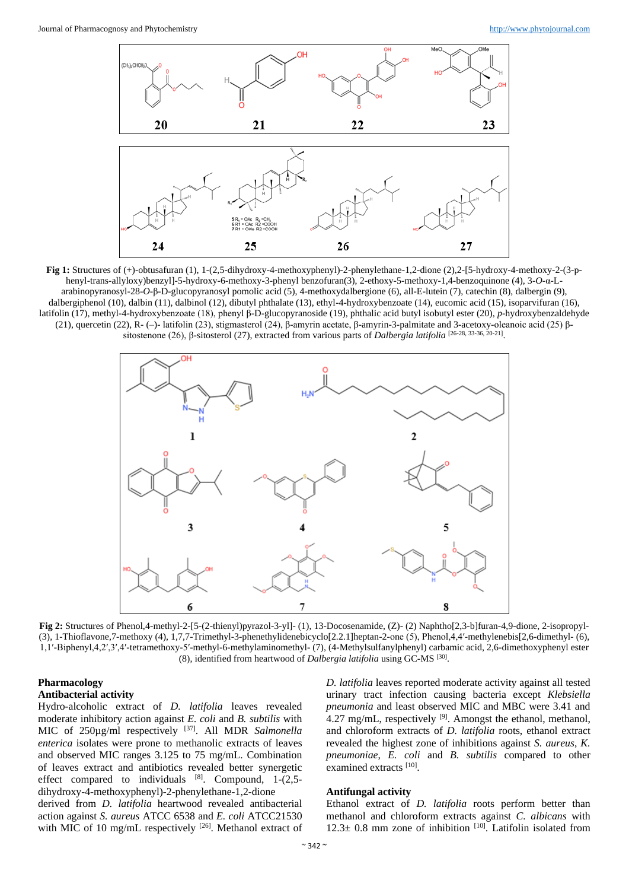

**Fig 1:** Structures of (+)-obtusafuran (1), 1-(2,5-dihydroxy-4-methoxyphenyl)-2-phenylethane-1,2-dione (2),2-[5-hydroxy-4-methoxy-2-(3-phenyl-trans-allyloxy)benzyl]-5-hydroxy-6-methoxy-3-phenyl benzofuran(3), 2-ethoxy-5-methoxy-1,4-benzoquinone (4), 3-*O*-α-Larabinopyranosyl-28-*O*-β-D-glucopyranosyl pomolic acid (5), 4-methoxydalbergione (6), all-E-lutein (7), catechin (8), dalbergin (9), dalbergiphenol (10), dalbin (11), dalbinol (12), dibutyl phthalate (13), ethyl-4-hydroxybenzoate (14), eucomic acid (15), isoparvifuran (16), latifolin (17), methyl-4-hydroxybenzoate (18), phenyl β-D-glucopyranoside (19), phthalic acid butyl isobutyl ester (20), *p*-hydroxybenzaldehyde (21), quercetin (22), R- (–)- latifolin (23), stigmasterol (24), β-amyrin acetate, β-amyrin-3-palmitate and 3-acetoxy-oleanoic acid (25) βsitostenone (26), β-sitosterol (27), extracted from various parts of *Dalbergia latifolia* [26-28, 33-36, 20-21].



**Fig 2:** Structures of Phenol,4-methyl-2-[5-(2-thienyl)pyrazol-3-yl]- (1), 13-Docosenamide, (Z)- (2) Naphtho[2,3-b]furan-4,9-dione, 2-isopropyl- (3), 1-Thioflavone,7-methoxy (4), 1,7,7-Trimethyl-3-phenethylidenebicyclo[2.2.1]heptan-2-one (5), Phenol,4,4′-methylenebis[2,6-dimethyl- (6), 1,1′-Biphenyl,4,2′,3′,4′-tetramethoxy-5′-methyl-6-methylaminomethyl- (7), (4-Methylsulfanylphenyl) carbamic acid, 2,6-dimethoxyphenyl ester (8), identified from heartwood of *Dalbergia latifolia* using GC-MS [30] .

# **Pharmacology Antibacterial activity**

Hydro-alcoholic extract of *D. latifolia* leaves revealed moderate inhibitory action against *E. coli* and *B. subtilis* with MIC of 250µg/ml respectively <sup>[37]</sup>. All MDR *Salmonella enterica* isolates were prone to methanolic extracts of leaves and observed MIC ranges 3.125 to 75 mg/mL. Combination of leaves extract and antibiotics revealed better synergetic effect compared to individuals  $[8]$ . Compound, 1-(2,5dihydroxy-4-methoxyphenyl)-2-phenylethane-1,2-dione derived from *D. latifolia* heartwood revealed antibacterial

action against *S. aureus* ATCC 6538 and *E. coli* ATCC21530 with MIC of 10 mg/mL respectively <sup>[26]</sup>. Methanol extract of *D. latifolia* leaves reported moderate activity against all tested urinary tract infection causing bacteria except *Klebsiella pneumonia* and least observed MIC and MBC were 3.41 and 4.27 mg/mL, respectively <sup>[9]</sup>. Amongst the ethanol, methanol, and chloroform extracts of *D. latifolia* roots, ethanol extract revealed the highest zone of inhibitions against *S. aureus*, *K. pneumoniae*, *E. coli* and *B. subtilis* compared to other examined extracts [10].

#### **Antifungal activity**

Ethanol extract of *D. latifolia* roots perform better than methanol and chloroform extracts against *C. albicans* with  $12.3 \pm 0.8$  mm zone of inhibition  $[10]$ . Latifolin isolated from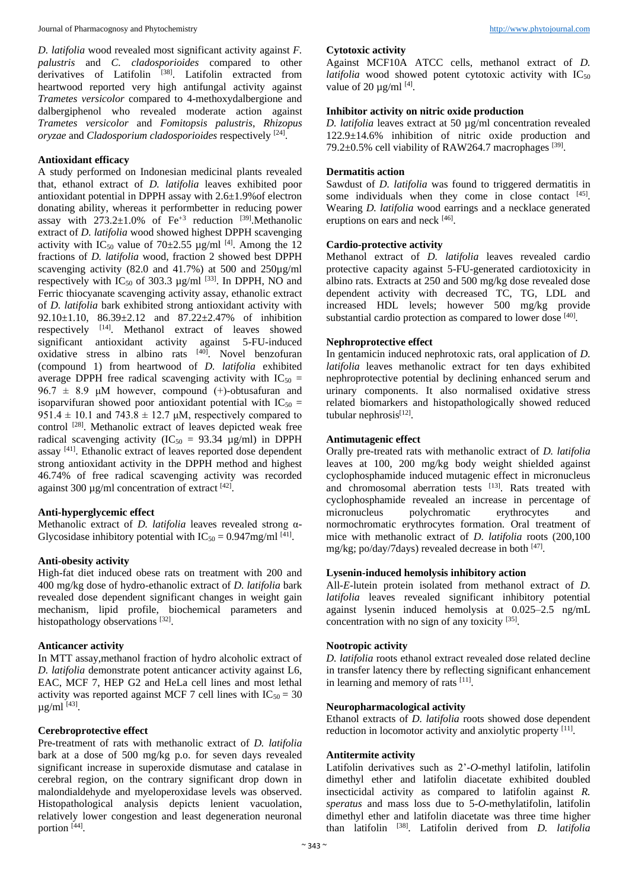*D. latifolia* wood revealed most significant activity against *F. palustris* and *C. cladosporioides* compared to other derivatives of Latifolin [38]. Latifolin extracted from heartwood reported very high antifungal activity against *Trametes versicolor* compared to 4-methoxydalbergione and dalbergiphenol who revealed moderate action against *Trametes versicolor* and *Fomitopsis palustris*, *Rhizopus oryzae* and *Cladosporium cladosporioides* respectively [24] .

# **Antioxidant efficacy**

A study performed on Indonesian medicinal plants revealed that, ethanol extract of *D. latifolia* leaves exhibited poor antioxidant potential in DPPH assay with 2.6±1.9%of electron donating ability, whereas it performbetter in reducing power assay with  $273.2\pm1.0\%$  of Fe<sup>+3</sup> reduction <sup>[39]</sup>. Methanolic extract of *D. latifolia* wood showed highest DPPH scavenging activity with IC<sub>50</sub> value of 70 $\pm$ 2.55 µg/ml<sup>[4]</sup>. Among the 12 fractions of *D. latifolia* wood, fraction 2 showed best DPPH scavenging activity (82.0 and 41.7%) at 500 and 250µg/ml respectively with  $IC_{50}$  of 303.3  $\mu$ g/ml <sup>[33]</sup>. In DPPH, NO and Ferric thiocyanate scavenging activity assay, ethanolic extract of *D. latifolia* bark exhibited strong antioxidant activity with 92.10±1.10, 86.39±2.12 and 87.22±2.47% of inhibition respectively [14]. Methanol extract of leaves showed significant antioxidant activity against 5-FU-induced  $\overline{\text{oxidative}}$  stress in albino rats  $^{[40]}$ . Novel benzofuran (compound 1) from heartwood of *D. latifolia* exhibited average DPPH free radical scavenging activity with  $IC_{50}$  = 96.7  $\pm$  8.9 μM however, compound (+)-obtusafuran and isoparvifuran showed poor antioxidant potential with  $IC_{50}$  = 951.4  $\pm$  10.1 and 743.8  $\pm$  12.7 µM, respectively compared to control <sup>[28]</sup>. Methanolic extract of leaves depicted weak free radical scavenging activity  $(IC_{50} = 93.34 \text{ µg/ml})$  in DPPH assay [41]. Ethanolic extract of leaves reported dose dependent strong antioxidant activity in the DPPH method and highest 46.74% of free radical scavenging activity was recorded against 300  $\mu$ g/ml concentration of extract [42].

# **Anti-hyperglycemic effect**

Methanolic extract of *D. latifolia* leaves revealed strong α-Glycosidase inhibitory potential with  $IC_{50} = 0.947$ mg/ml<sup>[41]</sup>.

# **Anti-obesity activity**

High-fat diet induced obese rats on treatment with 200 and 400 mg/kg dose of hydro-ethanolic extract of *D. latifolia* bark revealed dose dependent significant changes in weight gain mechanism, lipid profile, biochemical parameters and histopathology observations [32].

#### **Anticancer activity**

In MTT assay,methanol fraction of hydro alcoholic extract of *D. latifolia* demonstrate potent anticancer activity against L6, EAC, MCF 7, HEP G2 and HeLa cell lines and most lethal activity was reported against MCF 7 cell lines with  $IC_{50} = 30$  $\mu$ g/ml<sup>[43]</sup>.

# **Cerebroprotective effect**

Pre-treatment of rats with methanolic extract of *D. latifolia* bark at a dose of 500 mg/kg p.o. for seven days revealed significant increase in superoxide dismutase and catalase in cerebral region, on the contrary significant drop down in malondialdehyde and myeloperoxidase levels was observed. Histopathological analysis depicts lenient vacuolation, relatively lower congestion and least degeneration neuronal portion [44].

# **Cytotoxic activity**

Against MCF10A ATCC cells, methanol extract of *D. latifolia* wood showed potent cytotoxic activity with IC<sub>50</sub> value of 20  $\mu$ g/ml<sup>[4]</sup>.

# **Inhibitor activity on nitric oxide production**

*D. latifolia* leaves extract at 50 µg/ml concentration revealed 122.9±14.6% inhibition of nitric oxide production and 79.2 $\pm$ 0.5% cell viability of RAW264.7 macrophages [39].

### **Dermatitis action**

Sawdust of *D. latifolia* was found to triggered dermatitis in some individuals when they come in close contact [45]. Wearing *D. latifolia* wood earrings and a necklace generated eruptions on ears and neck [46].

# **Cardio-protective activity**

Methanol extract of *D. latifolia* leaves revealed cardio protective capacity against 5-FU-generated cardiotoxicity in albino rats. Extracts at 250 and 500 mg/kg dose revealed dose dependent activity with decreased TC, TG, LDL and increased HDL levels; however 500 mg/kg provide substantial cardio protection as compared to lower dose [40].

# **Nephroprotective effect**

In gentamicin induced nephrotoxic rats, oral application of *D. latifolia* leaves methanolic extract for ten days exhibited nephroprotective potential by declining enhanced serum and urinary components. It also normalised oxidative stress related biomarkers and histopathologically showed reduced tubular nephrosis<sup>[12]</sup>.

# **Antimutagenic effect**

Orally pre-treated rats with methanolic extract of *D. latifolia* leaves at 100, 200 mg/kg body weight shielded against cyclophosphamide induced mutagenic effect in micronucleus and chromosomal aberration tests [13]. Rats treated with cyclophosphamide revealed an increase in percentage of micronucleus polychromatic erythrocytes and normochromatic erythrocytes formation. Oral treatment of mice with methanolic extract of *D. latifolia* roots (200,100 mg/kg; po/day/7days) revealed decrease in both [47].

# **Lysenin-induced hemolysis inhibitory action**

All-*E*-lutein protein isolated from methanol extract of *D. latifolia* leaves revealed significant inhibitory potential against lysenin induced hemolysis at 0.025–2.5 ng/mL concentration with no sign of any toxicity [35].

#### **Nootropic activity**

*D. latifolia* roots ethanol extract revealed dose related decline in transfer latency there by reflecting significant enhancement in learning and memory of rats [11].

# **Neuropharmacological activity**

Ethanol extracts of *D. latifolia* roots showed dose dependent reduction in locomotor activity and anxiolytic property [11].

#### **Antitermite activity**

Latifolin derivatives such as 2'-*O*-methyl latifolin, latifolin dimethyl ether and latifolin diacetate exhibited doubled insecticidal activity as compared to latifolin against *R. speratus* and mass loss due to 5-*O*-methylatifolin, latifolin dimethyl ether and latifolin diacetate was three time higher than latifolin [38]. Latifolin derived from *D. latifolia*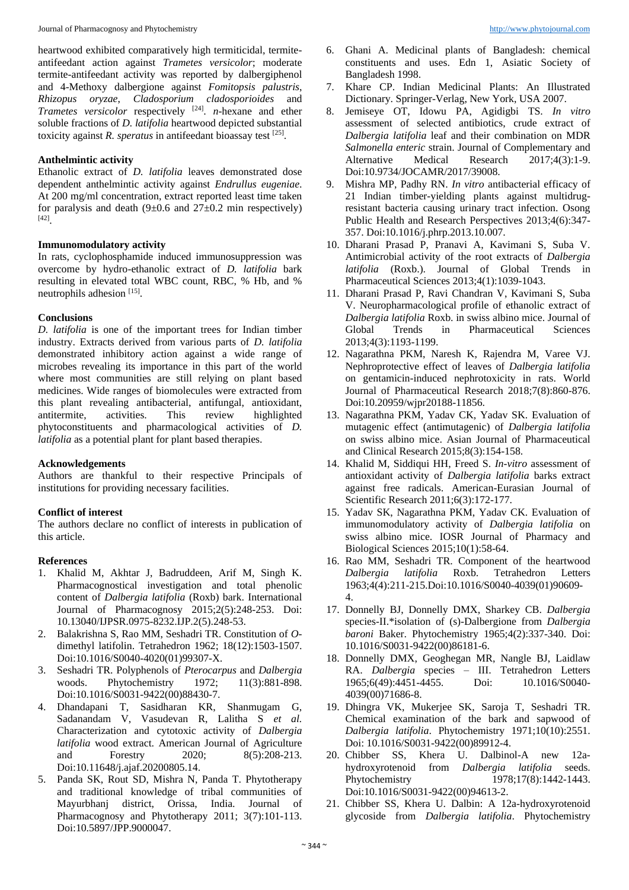heartwood exhibited comparatively high termiticidal, termiteantifeedant action against *Trametes versicolor*; moderate termite-antifeedant activity was reported by dalbergiphenol and 4-Methoxy dalbergione against *Fomitopsis palustris*, *Rhizopus oryzae*, *Cladosporium cladosporioides* and *Trametes versicolor* respectively [24] . *n*-hexane and ether soluble fractions of *D. latifolia* heartwood depicted substantial toxicity against *R. speratus* in antifeedant bioassay test <sup>[25]</sup>.

# **Anthelmintic activity**

Ethanolic extract of *D. latifolia* leaves demonstrated dose dependent anthelmintic activity against *Endrullus eugeniae*. At 200 mg/ml concentration, extract reported least time taken for paralysis and death  $(9\pm 0.6$  and  $27\pm 0.2$  min respectively) [42] .

#### **Immunomodulatory activity**

In rats, cyclophosphamide induced immunosuppression was overcome by hydro-ethanolic extract of *D. latifolia* bark resulting in elevated total WBC count, RBC, % Hb, and % neutrophils adhesion [15].

# **Conclusions**

*D. latifolia* is one of the important trees for Indian timber industry. Extracts derived from various parts of *D. latifolia* demonstrated inhibitory action against a wide range of microbes revealing its importance in this part of the world where most communities are still relying on plant based medicines. Wide ranges of biomolecules were extracted from this plant revealing antibacterial, antifungal, antioxidant, antitermite, activities. This review highlighted phytoconstituents and pharmacological activities of *D. latifolia* as a potential plant for plant based therapies.

#### **Acknowledgements**

Authors are thankful to their respective Principals of institutions for providing necessary facilities.

#### **Conflict of interest**

The authors declare no conflict of interests in publication of this article.

#### **References**

- 1. Khalid M, Akhtar J, Badruddeen, Arif M, Singh K. Pharmacognostical investigation and total phenolic content of *Dalbergia latifolia* (Roxb) bark. International Journal of Pharmacognosy 2015;2(5):248-253. Doi: 10.13040/IJPSR.0975-8232.IJP.2(5).248-53.
- 2. Balakrishna S, Rao MM, Seshadri TR. Constitution of *O*dimethyl latifolin. Tetrahedron 1962; 18(12):1503-1507. Doi:10.1016/S0040-4020(01)99307-X.
- 3. Seshadri TR. Polyphenols of *Pterocarpus* and *Dalbergia* woods. Phytochemistry 1972; 11(3):881-898. Doi:10.1016/S0031-9422(00)88430-7.
- 4. Dhandapani T, Sasidharan KR, Shanmugam G, Sadanandam V, Vasudevan R, Lalitha S *et al.* Characterization and cytotoxic activity of *Dalbergia latifolia* wood extract. American Journal of Agriculture and Forestry 2020; 8(5):208-213. Doi:10.11648/j.ajaf.20200805.14.
- 5. Panda SK, Rout SD, Mishra N, Panda T. Phytotherapy and traditional knowledge of tribal communities of Mayurbhanj district, Orissa, India. Journal of Pharmacognosy and Phytotherapy 2011; 3(7):101-113. Doi:10.5897/JPP.9000047.
- 6. Ghani A. Medicinal plants of Bangladesh: chemical constituents and uses. Edn 1, Asiatic Society of Bangladesh 1998.
- 7. Khare CP. Indian Medicinal Plants: An Illustrated Dictionary. Springer-Verlag, New York, USA 2007.
- 8. Jemiseye OT, Idowu PA, Agidigbi TS. *In vitro*  assessment of selected antibiotics, crude extract of *Dalbergia latifolia* leaf and their combination on MDR *Salmonella enteric* strain. Journal of Complementary and Alternative Medical Research 2017;4(3):1-9. Doi:10.9734/JOCAMR/2017/39008.
- 9. Mishra MP, Padhy RN. *In vitro* antibacterial efficacy of 21 Indian timber-yielding plants against multidrugresistant bacteria causing urinary tract infection. Osong Public Health and Research Perspectives 2013;4(6):347- 357. Doi:10.1016/j.phrp.2013.10.007.
- 10. Dharani Prasad P, Pranavi A, Kavimani S, Suba V. Antimicrobial activity of the root extracts of *Dalbergia latifolia* (Roxb.). Journal of Global Trends in Pharmaceutical Sciences 2013;4(1):1039-1043.
- 11. Dharani Prasad P, Ravi Chandran V, Kavimani S, Suba V. Neuropharmacological profile of ethanolic extract of *Dalbergia latifolia* Roxb. in swiss albino mice. Journal of Global Trends in Pharmaceutical Sciences 2013;4(3):1193-1199.
- 12. Nagarathna PKM, Naresh K, Rajendra M, Varee VJ. Nephroprotective effect of leaves of *Dalbergia latifolia* on gentamicin-induced nephrotoxicity in rats. World Journal of Pharmaceutical Research 2018;7(8):860-876. Doi:10.20959/wjpr20188-11856.
- 13. Nagarathna PKM, Yadav CK, Yadav SK. Evaluation of mutagenic effect (antimutagenic) of *Dalbergia latifolia* on swiss albino mice. Asian Journal of Pharmaceutical and Clinical Research 2015;8(3):154-158.
- 14. Khalid M, Siddiqui HH, Freed S. *In-vitro* assessment of antioxidant activity of *Dalbergia latifolia* barks extract against free radicals. American-Eurasian Journal of Scientific Research 2011;6(3):172-177.
- 15. Yadav SK, Nagarathna PKM, Yadav CK. Evaluation of immunomodulatory activity of *Dalbergia latifolia* on swiss albino mice. IOSR Journal of Pharmacy and Biological Sciences 2015;10(1):58-64.
- 16. Rao MM, Seshadri TR. Component of the heartwood *Dalbergia latifolia* Roxb. Tetrahedron Letters 1963;4(4):211-215.Doi:10.1016/S0040-4039(01)90609- 4.
- 17. Donnelly BJ, Donnelly DMX, Sharkey CB. *Dalbergia* species-II.\*isolation of (s)-Dalbergione from *Dalbergia baroni* Baker. Phytochemistry 1965;4(2):337-340. Doi: 10.1016/S0031-9422(00)86181-6.
- 18. Donnelly DMX, Geoghegan MR, Nangle BJ, Laidlaw RA. *Dalbergia* species – III. Tetrahedron Letters 1965;6(49):4451-4455. Doi: 10.1016/S0040- 4039(00)71686-8.
- 19. Dhingra VK, Mukerjee SK, Saroja T, Seshadri TR. Chemical examination of the bark and sapwood of *Dalbergia latifolia*. Phytochemistry 1971;10(10):2551. Doi: 10.1016/S0031-9422(00)89912-4.
- 20. Chibber SS, Khera U. Dalbinol-A new 12ahydroxyrotenoid from *Dalbergia latifolia* seeds. Phytochemistry 1978;17(8):1442-1443. Doi:10.1016/S0031-9422(00)94613-2.
- 21. Chibber SS, Khera U. Dalbin: A 12a-hydroxyrotenoid glycoside from *Dalbergia latifolia*. Phytochemistry